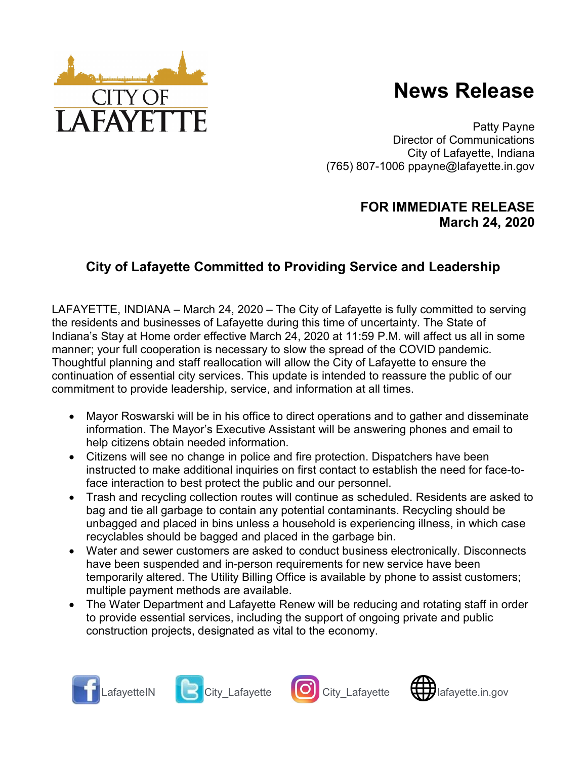

Patty Payne Director of Communications City of Lafayette, Indiana (765) 807-1006 ppayne@lafayette.in.gov

## FOR IMMEDIATE RELEASE March 24, 2020

## City of Lafayette Committed to Providing Service and Leadership

LAFAYETTE, INDIANA – March 24, 2020 – The City of Lafayette is fully committed to serving the residents and businesses of Lafayette during this time of uncertainty. The State of Indiana's Stay at Home order effective March 24, 2020 at 11:59 P.M. will affect us all in some manner; your full cooperation is necessary to slow the spread of the COVID pandemic. Thoughtful planning and staff reallocation will allow the City of Lafayette to ensure the continuation of essential city services. This update is intended to reassure the public of our commitment to provide leadership, service, and information at all times.

- Mayor Roswarski will be in his office to direct operations and to gather and disseminate information. The Mayor's Executive Assistant will be answering phones and email to help citizens obtain needed information.
- Citizens will see no change in police and fire protection. Dispatchers have been instructed to make additional inquiries on first contact to establish the need for face-toface interaction to best protect the public and our personnel.
- Trash and recycling collection routes will continue as scheduled. Residents are asked to bag and tie all garbage to contain any potential contaminants. Recycling should be unbagged and placed in bins unless a household is experiencing illness, in which case recyclables should be bagged and placed in the garbage bin.
- Water and sewer customers are asked to conduct business electronically. Disconnects have been suspended and in-person requirements for new service have been temporarily altered. The Utility Billing Office is available by phone to assist customers; multiple payment methods are available.
- The Water Department and Lafayette Renew will be reducing and rotating staff in order to provide essential services, including the support of ongoing private and public construction projects, designated as vital to the economy.



**CITY OF** 

**LAFAYET**